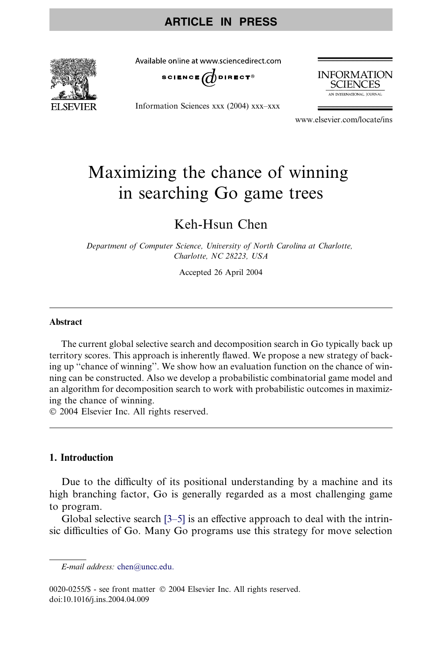

Available online at www.sciencedirect.com



Information Sciences xxx (2004) xxx–xxx



www.elsevier.com/locate/ins

# Maximizing the chance of winning in searching Go game trees

# Keh-Hsun Chen

Department of Computer Science, University of North Carolina at Charlotte, Charlotte, NC 28223, USA

Accepted 26 April 2004

#### Abstract

The current global selective search and decomposition search in Go typically back up territory scores. This approach is inherently flawed. We propose a new strategy of backing up ''chance of winning''. We show how an evaluation function on the chance of winning can be constructed. Also we develop a probabilistic combinatorial game model and an algorithm for decomposition search to work with probabilistic outcomes in maximizing the chance of winning.

2004 Elsevier Inc. All rights reserved.

### 1. Introduction

Due to the difficulty of its positional understanding by a machine and its high branching factor, Go is generally regarded as a most challenging game to program.

Global selective search [\[3–5\]](#page-10-0) is an effective approach to deal with the intrinsic difficulties of Go. Many Go programs use this strategy for move selection

E-mail address: [chen@uncc.edu.](mailto:chen@uncc.edu.)

<sup>0020-0255/\$ -</sup> see front matter  $\degree$  2004 Elsevier Inc. All rights reserved. doi:10.1016/j.ins.2004.04.009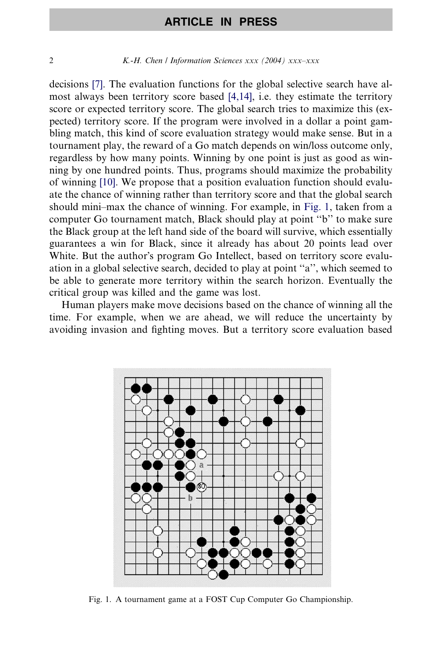<span id="page-1-0"></span>2 K.-H. Chen / Information Sciences  $xxx$  (2004)  $xxx-xxx$ 

decisions [\[7\]](#page-10-0). The evaluation functions for the global selective search have almost always been territory score based [\[4,14\],](#page-10-0) i.e. they estimate the territory score or expected territory score. The global search tries to maximize this (expected) territory score. If the program were involved in a dollar a point gambling match, this kind of score evaluation strategy would make sense. But in a tournament play, the reward of a Go match depends on win/loss outcome only, regardless by how many points. Winning by one point is just as good as winning by one hundred points. Thus, programs should maximize the probability of winning [\[10\].](#page-10-0) We propose that a position evaluation function should evaluate the chance of winning rather than territory score and that the global search should mini–max the chance of winning. For example, in Fig. 1, taken from a computer Go tournament match, Black should play at point ''b'' to make sure the Black group at the left hand side of the board will survive, which essentially guarantees a win for Black, since it already has about 20 points lead over White. But the author's program Go Intellect, based on territory score evaluation in a global selective search, decided to play at point ''a'', which seemed to be able to generate more territory within the search horizon. Eventually the critical group was killed and the game was lost.

Human players make move decisions based on the chance of winning all the time. For example, when we are ahead, we will reduce the uncertainty by avoiding invasion and fighting moves. But a territory score evaluation based



Fig. 1. A tournament game at a FOST Cup Computer Go Championship.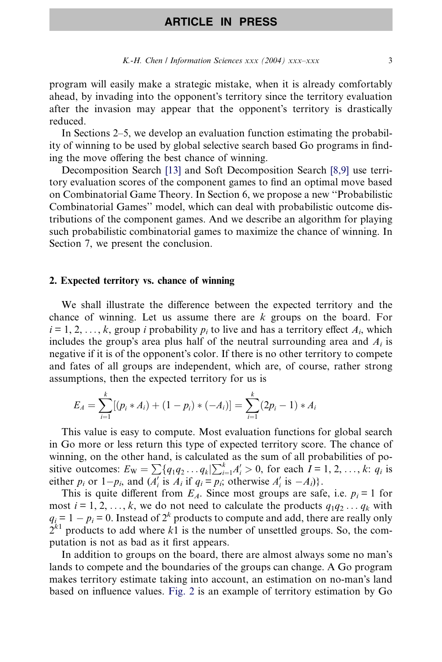program will easily make a strategic mistake, when it is already comfortably ahead, by invading into the opponent's territory since the territory evaluation after the invasion may appear that the opponent's territory is drastically reduced.

In Sections 2–5, we develop an evaluation function estimating the probability of winning to be used by global selective search based Go programs in finding the move offering the best chance of winning.

Decomposition Search [\[13\]](#page-10-0) and Soft Decomposition Search [\[8,9\]](#page-10-0) use territory evaluation scores of the component games to find an optimal move based on Combinatorial Game Theory. In Section 6, we propose a new ''Probabilistic Combinatorial Games'' model, which can deal with probabilistic outcome distributions of the component games. And we describe an algorithm for playing such probabilistic combinatorial games to maximize the chance of winning. In Section 7, we present the conclusion.

#### 2. Expected territory vs. chance of winning

We shall illustrate the difference between the expected territory and the chance of winning. Let us assume there are  $k$  groups on the board. For  $i = 1, 2, \ldots, k$ , group *i* probability  $p_i$  to live and has a territory effect  $A_i$ , which includes the group's area plus half of the neutral surrounding area and  $A_i$  is negative if it is of the opponent's color. If there is no other territory to compete and fates of all groups are independent, which are, of course, rather strong assumptions, then the expected territory for us is

$$
E_A = \sum_{i=1}^k [(p_i * A_i) + (1 - p_i) * (-A_i)] = \sum_{i=1}^k (2p_i - 1) * A_i
$$

This value is easy to compute. Most evaluation functions for global search in Go more or less return this type of expected territory score. The chance of winning, on the other hand, is calculated as the sum of all probabilities of powhile with the state in the state of the same of an producine of positive outcomes:  $E_W = \sum {q_1 q_2 ... q_k} \sum_{i=1}^k A'_i > 0$ , for each  $I = 1, 2, ..., k$ :  $q_i$  is either  $p_i$  or  $1-p_i$ , and  $(A'_i$  is  $A_i$  if  $q_i = p_i$ ; otherwise  $A'_i$  is  $-A_i$ ).

This is quite different from  $E_A$ . Since most groups are safe, i.e.  $p_i = 1$  for most  $i = 1, 2, \ldots, k$ , we do not need to calculate the products  $q_1q_2 \ldots q_k$  with  $q_i = 1 - p_i = 0$ . Instead of  $2^k$  products to compute and add, there are really only  $2^{k_1}$  products to add where k1 is the number of unsettled groups. So, the computation is not as bad as it first appears.

In addition to groups on the board, there are almost always some no man's lands to compete and the boundaries of the groups can change. A Go program makes territory estimate taking into account, an estimation on no-man's land based on influence values. [Fig. 2](#page-3-0) is an example of territory estimation by Go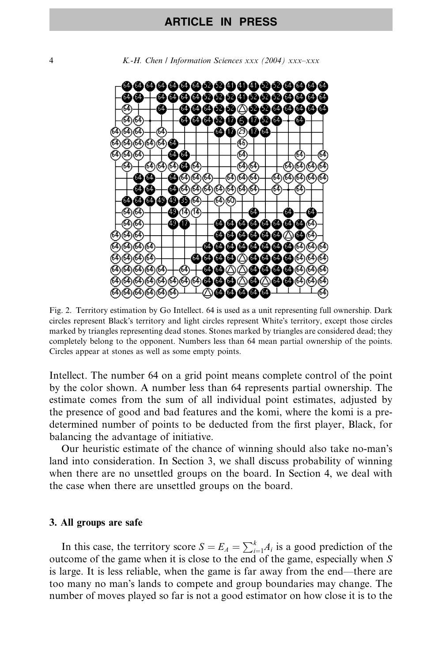<span id="page-3-0"></span>4 K.-H. Chen / Information Sciences xxx (2004) xxx–xxx



Fig. 2. Territory estimation by Go Intellect. 64 is used as a unit representing full ownership. Dark circles represent Black's territory and light circles represent White's territory, except those circles marked by triangles representing dead stones. Stones marked by triangles are considered dead; they completely belong to the opponent. Numbers less than 64 mean partial ownership of the points. Circles appear at stones as well as some empty points.

Intellect. The number 64 on a grid point means complete control of the point by the color shown. A number less than 64 represents partial ownership. The estimate comes from the sum of all individual point estimates, adjusted by the presence of good and bad features and the komi, where the komi is a predetermined number of points to be deducted from the first player, Black, for balancing the advantage of initiative.

Our heuristic estimate of the chance of winning should also take no-man's land into consideration. In Section 3, we shall discuss probability of winning when there are no unsettled groups on the board. In Section 4, we deal with the case when there are unsettled groups on the board.

#### 3. All groups are safe

In this case, the territory score  $S = E_A = \sum_{i=1}^{k} A_i$  is a good prediction of the outcome of the game when it is close to the end of the game, especially when S is large. It is less reliable, when the game is far away from the end—there are too many no man's lands to compete and group boundaries may change. The number of moves played so far is not a good estimator on how close it is to the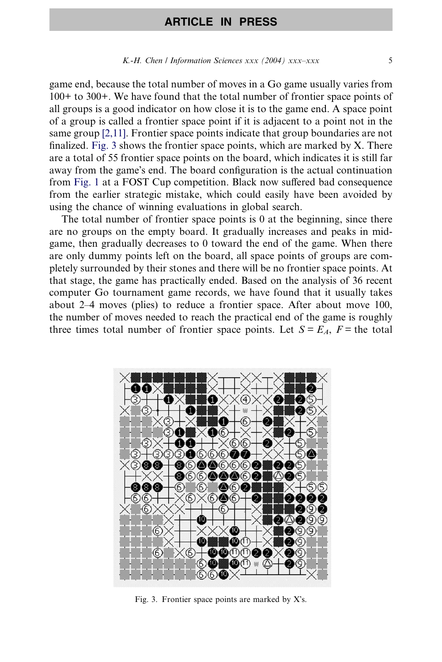#### K.-H. Chen / Information Sciences  $xxx$  (2004)  $xxx$ - $xxx$

game end, because the total number of moves in a Go game usually varies from 100+ to 300+. We have found that the total number of frontier space points of all groups is a good indicator on how close it is to the game end. A space point of a group is called a frontier space point if it is adjacent to a point not in the same group [\[2,11\].](#page-10-0) Frontier space points indicate that group boundaries are not finalized. Fig. 3 shows the frontier space points, which are marked by X. There are a total of 55 frontier space points on the board, which indicates it is still far away from the game's end. The board configuration is the actual continuation from [Fig. 1](#page-1-0) at a FOST Cup competition. Black now suffered bad consequence from the earlier strategic mistake, which could easily have been avoided by using the chance of winning evaluations in global search.

The total number of frontier space points is  $\theta$  at the beginning, since there are no groups on the empty board. It gradually increases and peaks in midgame, then gradually decreases to 0 toward the end of the game. When there are only dummy points left on the board, all space points of groups are completely surrounded by their stones and there will be no frontier space points. At that stage, the game has practically ended. Based on the analysis of 36 recent computer Go tournament game records, we have found that it usually takes about 2–4 moves (plies) to reduce a frontier space. After about move 100, the number of moves needed to reach the practical end of the game is roughly three times total number of frontier space points. Let  $S = E<sub>A</sub>$ ,  $F =$  the total



Fig. 3. Frontier space points are marked by  $X$ 's.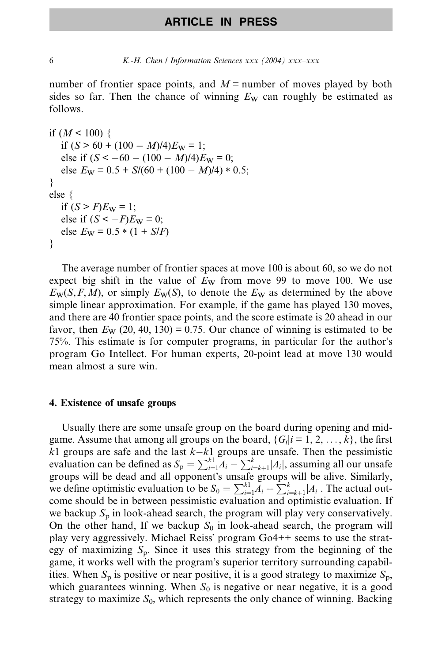6 K.-H. Chen / Information Sciences xxx (2004) xxx–xxx

number of frontier space points, and  $M$  = number of moves played by both sides so far. Then the chance of winning  $E_W$  can roughly be estimated as follows.

```
if (M < 100) {
   if (S > 60 + (100 - M)/4)E_W = 1;
   else if (S < -60 - (100 - M)/4)E_W = 0;else E_{\text{W}} = 0.5 + S/(60 + (100 - M)/4) * 0.5;}
else {
   if (S > F)E_{W} = 1;
   else if (S < -F)E_W = 0;else E_{\text{W}} = 0.5 * (1 + S/F)}
```
The average number of frontier spaces at move 100 is about 60, so we do not expect big shift in the value of  $E_W$  from move 99 to move 100. We use  $E_{\rm W}(S, F, M)$ , or simply  $E_{\rm W}(S)$ , to denote the  $E_{\rm W}$  as determined by the above simple linear approximation. For example, if the game has played 130 moves, and there are 40 frontier space points, and the score estimate is 20 ahead in our favor, then  $E_W$  (20, 40, 130) = 0.75. Our chance of winning is estimated to be 75%. This estimate is for computer programs, in particular for the author's program Go Intellect. For human experts, 20-point lead at move 130 would mean almost a sure win.

#### 4. Existence of unsafe groups

Usually there are some unsafe group on the board during opening and midgame. Assume that among all groups on the board,  $\{G_i|i=1,2,\ldots,k\}$ , the first  $k1$  groups are safe and the last  $k-k1$  groups are unsafe. Then the pessimistic evaluation can be defined as  $S_p = \sum_{i=1}^{k_1} A_i - \sum_{i=k+1}^{k} |A_i|$ , assuming all our unsafe groups will be dead and all opponent's unsafe groups will be alive. Similarly, we define optimistic evaluation to be  $S_0 = \sum_{i=1}^{k_1} A_i + \sum_{i=k+1}^{k} |A_i|$ . The actual outcome should be in between pessimistic evaluation and optimistic evaluation. If we backup  $S_p$  in look-ahead search, the program will play very conservatively. On the other hand, If we backup  $S_0$  in look-ahead search, the program will play very aggressively. Michael Reiss' program  $Go4++$  seems to use the strategy of maximizing  $S_p$ . Since it uses this strategy from the beginning of the game, it works well with the program's superior territory surrounding capabilities. When  $S_p$  is positive or near positive, it is a good strategy to maximize  $S_p$ , which guarantees winning. When  $S_0$  is negative or near negative, it is a good strategy to maximize  $S_0$ , which represents the only chance of winning. Backing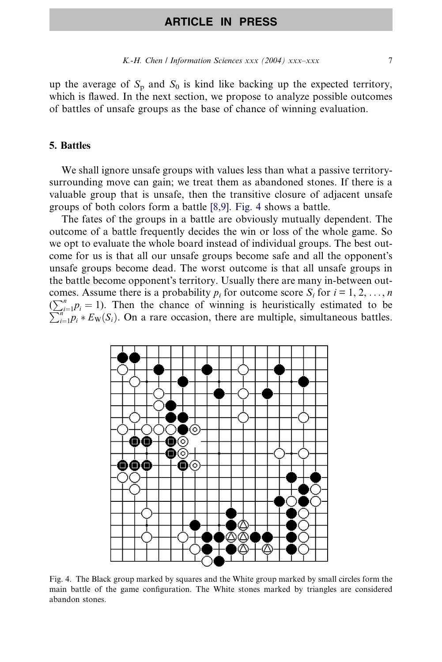up the average of  $S_p$  and  $S_0$  is kind like backing up the expected territory, which is flawed. In the next section, we propose to analyze possible outcomes of battles of unsafe groups as the base of chance of winning evaluation.

### 5. Battles

We shall ignore unsafe groups with values less than what a passive territorysurrounding move can gain; we treat them as abandoned stones. If there is a valuable group that is unsafe, then the transitive closure of adjacent unsafe groups of both colors form a battle [\[8,9\]](#page-10-0). Fig. 4 shows a battle.

The fates of the groups in a battle are obviously mutually dependent. The outcome of a battle frequently decides the win or loss of the whole game. So we opt to evaluate the whole board instead of individual groups. The best outcome for us is that all our unsafe groups become safe and all the opponent's unsafe groups become dead. The worst outcome is that all unsafe groups in the battle become opponent's territory. Usually there are many in-between outcomes. Assume there is a probability  $p_i$  for outcome score  $S_i$  for  $i = 1, 2, ..., n$  $\sum_{i=1}^{n} p_i = 1$ ). Then the chance of winning is heuristically estimated to be  $\sum_{i=1}^{n} p_i = 1$ . Then the chance of winning is heuristically estimated to be  $\sum_{i=1}^{N} p_i * E_{\rm W}(S_i)$ . On a rare occasion, there are multiple, simultaneous battles.



Fig. 4. The Black group marked by squares and the White group marked by small circles form the main battle of the game configuration. The White stones marked by triangles are considered abandon stones.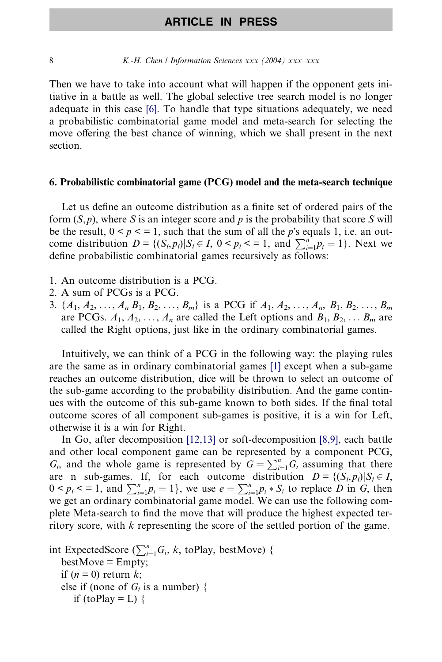#### 8 K.-H. Chen / Information Sciences xxx (2004) xxx-xxx

Then we have to take into account what will happen if the opponent gets initiative in a battle as well. The global selective tree search model is no longer adequate in this case [\[6\].](#page-10-0) To handle that type situations adequately, we need a probabilistic combinatorial game model and meta-search for selecting the move offering the best chance of winning, which we shall present in the next section.

#### 6. Probabilistic combinatorial game (PCG) model and the meta-search technique

Let us define an outcome distribution as a finite set of ordered pairs of the form  $(S, p)$ , where S is an integer score and p is the probability that score S will be the result,  $0 < p < 1$ , such that the sum of all the p's equals 1, i.e. an outcome distribution  $D = \{(S_i, p_i) | S_i \in I, 0 \le p_i \le \text{ in } \sum_{i=1}^n p_i = 1\}$ . Next we define probabilistic combinatorial games recursively as follows:

- 1. An outcome distribution is a PCG.
- 2. A sum of PCGs is a PCG.
- 3.  $\{A_1, A_2, \ldots, A_n | B_1, B_2, \ldots, B_m\}$  is a PCG if  $A_1, A_2, \ldots, A_n, B_1, B_2, \ldots, B_m\}$ are PCGs.  $A_1, A_2, \ldots, A_n$  are called the Left options and  $B_1, B_2, \ldots B_m$  are called the Right options, just like in the ordinary combinatorial games.

Intuitively, we can think of a PCG in the following way: the playing rules are the same as in ordinary combinatorial games [\[1\]](#page-10-0) except when a sub-game reaches an outcome distribution, dice will be thrown to select an outcome of the sub-game according to the probability distribution. And the game continues with the outcome of this sub-game known to both sides. If the final total outcome scores of all component sub-games is positive, it is a win for Left, otherwise it is a win for Right.

In Go, after decomposition [\[12,13\]](#page-10-0) or soft-decomposition [\[8,9\],](#page-10-0) each battle and other local component game can be represented by a component PCG,  $G_i$ , and the whole game is represented by  $G = \sum_{i=1}^{n} G_i$  assuming that there are n sub-games. If, for each outcome distribution  $D = \{ (S_i, p_i) | S_i \in I,$  $0 < p_i < 1$ , and  $\sum_{i=1}^{n} p_i = 1$ , we use  $e = \sum_{i=1}^{n} p_i * S_i$  to replace D in G, then we get an ordinary combinatorial game model. We can use the following complete Meta-search to find the move that will produce the highest expected territory score, with k representing the score of the settled portion of the game.

```
int ExpectedScore (\sum_{i=1}^{n} G_i, k, toPlay, bestMove) {
  bestMove = Empty;if (n = 0) return k;
  else if (none of G_i is a number) {
     if (toPlay = L) {
```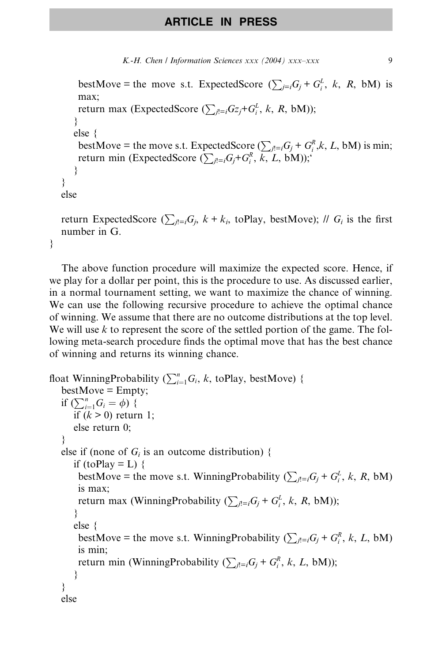```
K.-H. Chen / Information Sciences xxx (2004) xxx-xxx 9
```

```
bestMove = the move s.t. ExpectedScore (\sum_{j=i} G_j + G_i^L, k, R, bM) is
    max;
    return max (ExpectedScore (\sum_{j!=i} G_{Z_j} + G_i^L, k, R, bM));
   }
   else {
    bestMove = the move s.t. ExpectedScore (\sum_{j!=i} G_j + G_i^R, k, L, bM) is min;
    return min (ExpectedScore (\sum_{j=1}^{n}G_j+G_i^R, k, L, bM));
   }
}
else
return ExpectedScore (\sum_{i=1}G<sub>i</sub>, k + k_i, toPlay, bestMove); // G<sub>i</sub> is the first
number in G.
```

```
}
```
The above function procedure will maximize the expected score. Hence, if we play for a dollar per point, this is the procedure to use. As discussed earlier, in a normal tournament setting, we want to maximize the chance of winning. We can use the following recursive procedure to achieve the optimal chance of winning. We assume that there are no outcome distributions at the top level. We will use  $k$  to represent the score of the settled portion of the game. The following meta-search procedure finds the optimal move that has the best chance of winning and returns its winning chance.

```
float WinningProbability (\sum_{i=1}^{n} G_i, k, toPlay, bestMove) {
  bestMove = Empty;if \left(\sum_{i=1}^{n} G_i = \phi\right) {
      if (k > 0) return 1;
      else return 0;
   }
  else if (none of G_i is an outcome distribution) {
      if (toPlay = L) {
       bestMove = the move s.t. WinningProbability (\sum_{j,l=i} G_j + G_i^L, k, R, bM)
       is max;
       return max (WinningProbability (\sum_{j l} \in G_j + G_i^L, k, R, bM));
      }
      else {
       bestMove = the move s.t. WinningProbability (\sum_{j!=i} G_j + G_i^R, k, L, bM)
       is min;
       return min (WinningProbability (\sum_{j=1} G_j + G_i^R, k, L, bM));
      }
   }
  else
```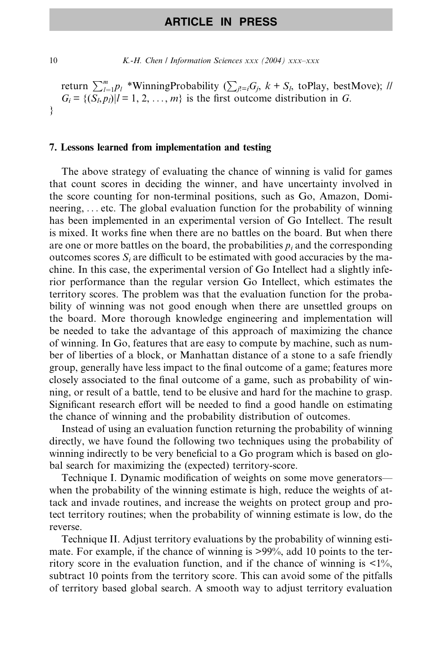10  $K-H$ . Chen / Information Sciences xxx (2004) xxx-xxx

return  $\sum_{l=1}^{m} p_l$  \*WinningProbability ( $\sum_{l'=i}$ G<sub>j</sub>,  $k + S_l$ , toPlay, bestMove); //  $G_i = \{(\overline{S_i}, p_i)|i = 1, 2, \ldots, m\}$  is the first outcome distribution in G. }

#### 7. Lessons learned from implementation and testing

The above strategy of evaluating the chance of winning is valid for games that count scores in deciding the winner, and have uncertainty involved in the score counting for non-terminal positions, such as Go, Amazon, Domineering, ... etc. The global evaluation function for the probability of winning has been implemented in an experimental version of Go Intellect. The result is mixed. It works fine when there are no battles on the board. But when there are one or more battles on the board, the probabilities  $p_i$  and the corresponding outcomes scores  $S_i$  are difficult to be estimated with good accuracies by the machine. In this case, the experimental version of Go Intellect had a slightly inferior performance than the regular version Go Intellect, which estimates the territory scores. The problem was that the evaluation function for the probability of winning was not good enough when there are unsettled groups on the board. More thorough knowledge engineering and implementation will be needed to take the advantage of this approach of maximizing the chance of winning. In Go, features that are easy to compute by machine, such as number of liberties of a block, or Manhattan distance of a stone to a safe friendly group, generally have less impact to the final outcome of a game; features more closely associated to the final outcome of a game, such as probability of winning, or result of a battle, tend to be elusive and hard for the machine to grasp. Significant research effort will be needed to find a good handle on estimating the chance of winning and the probability distribution of outcomes.

Instead of using an evaluation function returning the probability of winning directly, we have found the following two techniques using the probability of winning indirectly to be very beneficial to a Go program which is based on global search for maximizing the (expected) territory-score.

Technique I. Dynamic modification of weights on some move generators when the probability of the winning estimate is high, reduce the weights of attack and invade routines, and increase the weights on protect group and protect territory routines; when the probability of winning estimate is low, do the reverse.

Technique II. Adjust territory evaluations by the probability of winning estimate. For example, if the chance of winning is >99%, add 10 points to the territory score in the evaluation function, and if the chance of winning is  $\langle 1 \rangle$ %, subtract 10 points from the territory score. This can avoid some of the pitfalls of territory based global search. A smooth way to adjust territory evaluation